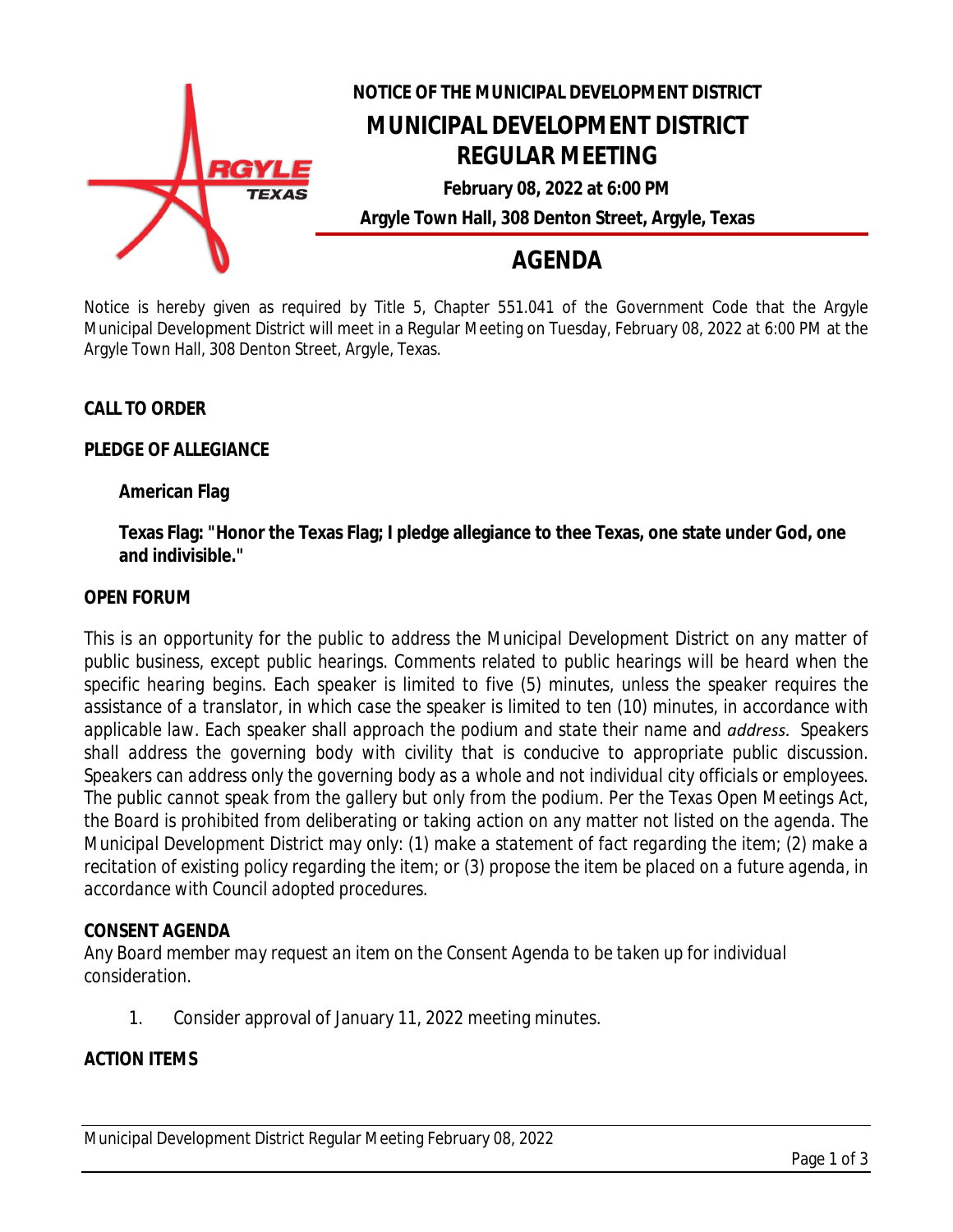

# **NOTICE OF THE MUNICIPAL DEVELOPMENT DISTRICT MUNICIPAL DEVELOPMENT DISTRICT REGULAR MEETING February 08, 2022 at 6:00 PM**

**Argyle Town Hall, 308 Denton Street, Argyle, Texas**

## **AGENDA**

Notice is hereby given as required by Title 5, Chapter 551.041 of the Government Code that the Argyle Municipal Development District will meet in a Regular Meeting on Tuesday, February 08, 2022 at 6:00 PM at the Argyle Town Hall, 308 Denton Street, Argyle, Texas.

## **CALL TO ORDER**

#### **PLEDGE OF ALLEGIANCE**

### **American Flag**

**Texas Flag: "Honor the Texas Flag; I pledge allegiance to thee Texas, one state under God, one and indivisible."**

#### **OPEN FORUM**

*This is an opportunity for the public to address the Municipal Development District on any matter of public business, except public hearings. Comments related to public hearings will be heard when the specific hearing begins. Each speaker is limited to five (5) minutes, unless the speaker requires the* assistance of a translator, in which case the speaker is limited to ten (10) minutes, in accordance with *applicable law. Each speaker shall approach the podium and state their name and address. Speakers shall address the governing body with civility that is conducive to appropriate public discussion. Speakers can address only the governing body as a whole and not individual city officials or employees.* The public cannot speak from the gallery but only from the podium. Per the Texas Open Meetings Act, the Board is prohibited from deliberating or taking action on any matter not listed on the agenda. The *Municipal Development District may only: (1) make a statement of fact regarding the item; (2) make a* recitation of existing policy regarding the item; or (3) propose the item be placed on a future agenda, in *accordance with Council adopted procedures.*

#### **CONSENT AGENDA**

*Any Board member may request an item on the Consent Agenda to be taken up for individual consideration.*

1. Consider approval of January 11, 2022 meeting minutes.

#### **ACTION ITEMS**

Municipal Development District Regular Meeting February 08, 2022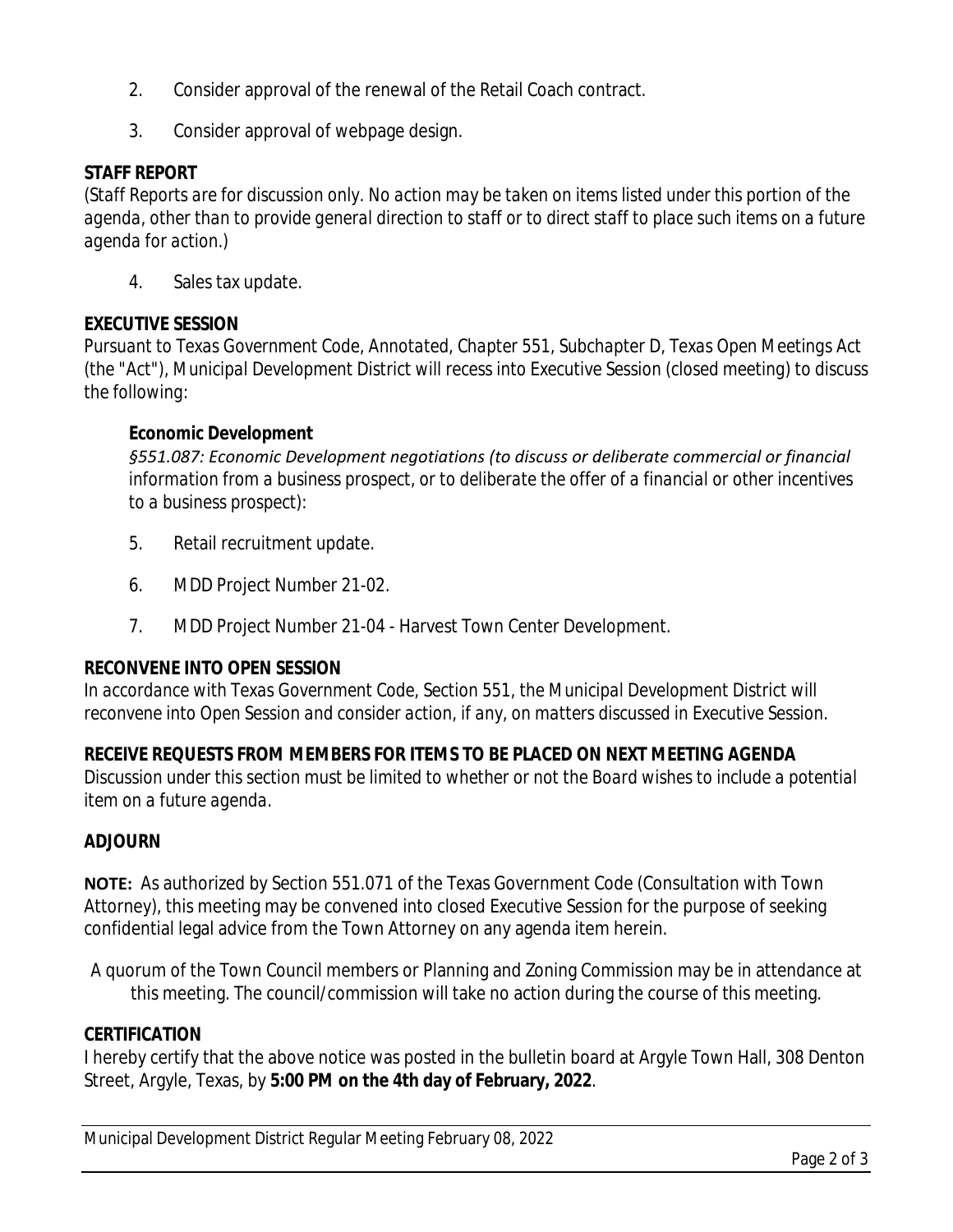- 2. Consider approval of the renewal of the Retail Coach contract.
- 3. Consider approval of webpage design.

## **STAFF REPORT**

*(Staff Reports are for discussion only. No action may be taken on items listed under this portion of the agenda, other than to provide general direction to staff or to direct staff to place such items on a future agenda for action.)*

4. Sales tax update.

## **EXECUTIVE SESSION**

*Pursuant to Texas Government Code, Annotated, Chapter 551, Subchapter D, Texas Open Meetings Act (the "Act"), Municipal Development District will recess into Executive Session (closed meeting) to discuss the following:*

## **Economic Development**

*§551.087: Economic Development negotiations (to discuss or deliberate commercial or financial information from a business prospect, or to deliberate the offer of a financial or other incentives to a business prospect):*

- 5. Retail recruitment update.
- 6. MDD Project Number 21-02.
- 7. MDD Project Number 21-04 Harvest Town Center Development.

## **RECONVENE INTO OPEN SESSION**

*In accordance with Texas Government Code, Section 551, the Municipal Development District will reconvene into Open Session and consider action, if any, on matters discussed in Executive Session.*

## **RECEIVE REQUESTS FROM MEMBERS FOR ITEMS TO BE PLACED ON NEXT MEETING AGENDA**

*Discussion under this section must be limited to whether or not the Board wishes to include a potential item on a future agenda.*

#### **ADJOURN**

**NOTE:** As authorized by Section 551.071 of the Texas Government Code (Consultation with Town Attorney), this meeting may be convened into closed Executive Session for the purpose of seeking confidential legal advice from the Town Attorney on any agenda item herein.

A quorum of the Town Council members or Planning and Zoning Commission may be in attendance at this meeting. The council/commission will take no action during the course of this meeting.

#### **CERTIFICATION**

I hereby certify that the above notice was posted in the bulletin board at Argyle Town Hall, 308 Denton Street, Argyle, Texas, by **5:00 PM on the 4th day of February, 2022**.

Municipal Development District Regular Meeting February 08, 2022